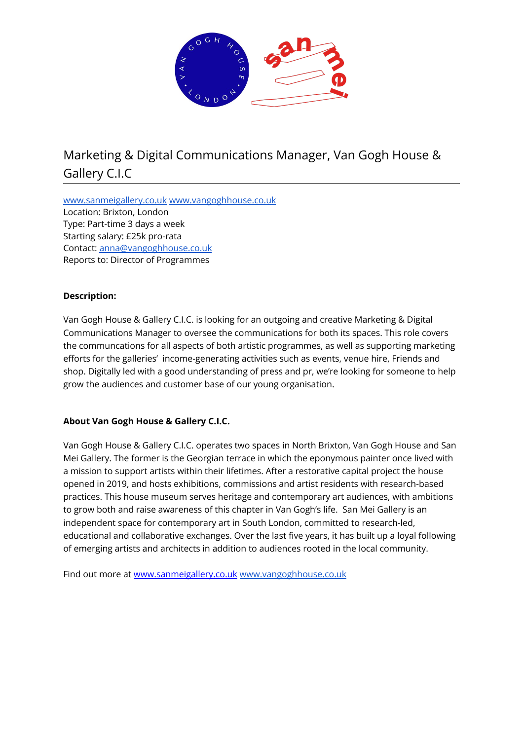

# Marketing & Digital Communications Manager, Van Gogh House & Gallery C.I.C

[www.sanmeigallery.co.uk](http://www.sanmeigallery.co.uk) [www.vangoghhouse.co.uk](http://www.vangoghhouse.co.uk) Location: Brixton, London Type: Part-time 3 days a week Starting salary: £25k pro-rata Contact: [anna@vangoghhouse.co.uk](mailto:anna@vangoghhouse.co.uk) Reports to: Director of Programmes

# **Description:**

Van Gogh House & Gallery C.I.C. is looking for an outgoing and creative Marketing & Digital Communications Manager to oversee the communications for both its spaces. This role covers the communcations for all aspects of both artistic programmes, as well as supporting marketing efforts for the galleries' income-generating activities such as events, venue hire, Friends and shop. Digitally led with a good understanding of press and pr, we're looking for someone to help grow the audiences and customer base of our young organisation.

## **About Van Gogh House & Gallery C.I.C.**

Van Gogh House & Gallery C.I.C. operates two spaces in North Brixton, Van Gogh House and San Mei Gallery. The former is the Georgian terrace in which the eponymous painter once lived with a mission to support artists within their lifetimes. After a restorative capital project the house opened in 2019, and hosts exhibitions, commissions and artist residents with research-based practices. This house museum serves heritage and contemporary art audiences, with ambitions to grow both and raise awareness of this chapter in Van Gogh's life. San Mei Gallery is an independent space for contemporary art in South London, committed to research-led, educational and collaborative exchanges. Over the last five years, it has built up a loyal following of emerging artists and architects in addition to audiences rooted in the local community.

Find out more at [www.sanmeigallery.co.uk](http://www.sanmeigallery.co.uk) [www.vangoghhouse.co.uk](http://www.vangoghhouse.co.uk)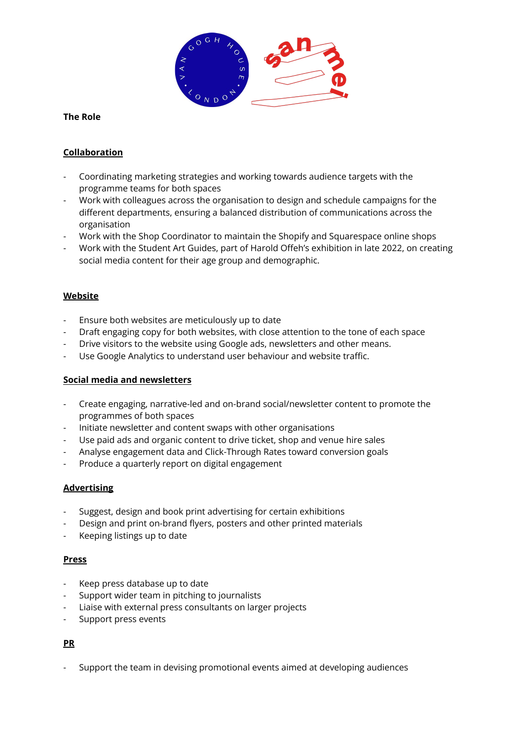

### **The Role**

## **Collaboration**

- Coordinating marketing strategies and working towards audience targets with the programme teams for both spaces
- Work with colleagues across the organisation to design and schedule campaigns for the different departments, ensuring a balanced distribution of communications across the organisation
- Work with the Shop Coordinator to maintain the Shopify and Squarespace online shops
- Work with the Student Art Guides, part of Harold Offeh's exhibition in late 2022, on creating social media content for their age group and demographic.

## **Website**

- Ensure both websites are meticulously up to date
- Draft engaging copy for both websites, with close attention to the tone of each space
- Drive visitors to the website using Google ads, newsletters and other means.
- Use Google Analytics to understand user behaviour and website traffic.

#### **Social media and newsletters**

- Create engaging, narrative-led and on-brand social/newsletter content to promote the programmes of both spaces
- Initiate newsletter and content swaps with other organisations
- Use paid ads and organic content to drive ticket, shop and venue hire sales
- Analyse engagement data and Click-Through Rates toward conversion goals
- Produce a quarterly report on digital engagement

## **Advertising**

- Suggest, design and book print advertising for certain exhibitions
- Design and print on-brand flyers, posters and other printed materials
- Keeping listings up to date

#### **Press**

- Keep press database up to date
- Support wider team in pitching to journalists
- Liaise with external press consultants on larger projects
- Support press events

## **PR**

- Support the team in devising promotional events aimed at developing audiences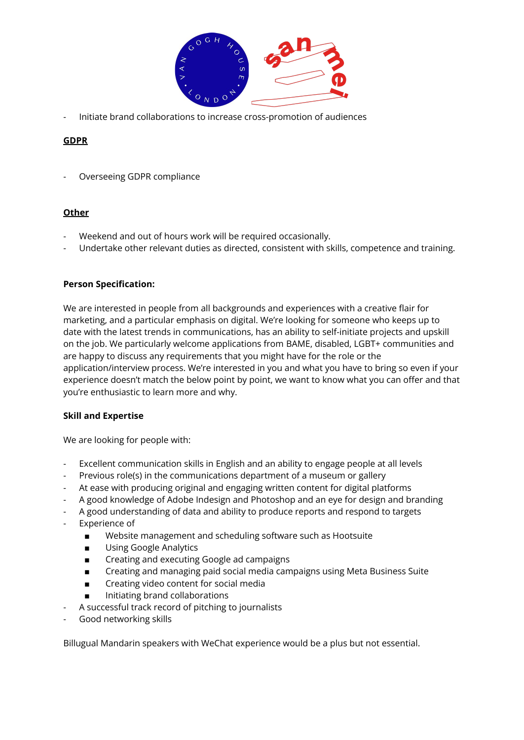

- Initiate brand collaborations to increase cross-promotion of audiences

# **GDPR**

- Overseeing GDPR compliance

## **Other**

- Weekend and out of hours work will be required occasionally.
- Undertake other relevant duties as directed, consistent with skills, competence and training.

# **Person Specification:**

We are interested in people from all backgrounds and experiences with a creative flair for marketing, and a particular emphasis on digital. We're looking for someone who keeps up to date with the latest trends in communications, has an ability to self-initiate projects and upskill on the job. We particularly welcome applications from BAME, disabled, LGBT+ communities and are happy to discuss any requirements that you might have for the role or the application/interview process. We're interested in you and what you have to bring so even if your experience doesn't match the below point by point, we want to know what you can offer and that you're enthusiastic to learn more and why.

## **Skill and Expertise**

We are looking for people with:

- Excellent communication skills in English and an ability to engage people at all levels
- Previous role(s) in the communications department of a museum or gallery
- At ease with producing original and engaging written content for digital platforms
- A good knowledge of Adobe Indesign and Photoshop and an eye for design and branding
- A good understanding of data and ability to produce reports and respond to targets
- Experience of
	- Website management and scheduling software such as Hootsuite
	- Using Google Analytics
	- Creating and executing Google ad campaigns
	- Creating and managing paid social media campaigns using Meta Business Suite
	- Creating video content for social media
	- Initiating brand collaborations
- A successful track record of pitching to journalists
- Good networking skills

Billugual Mandarin speakers with WeChat experience would be a plus but not essential.